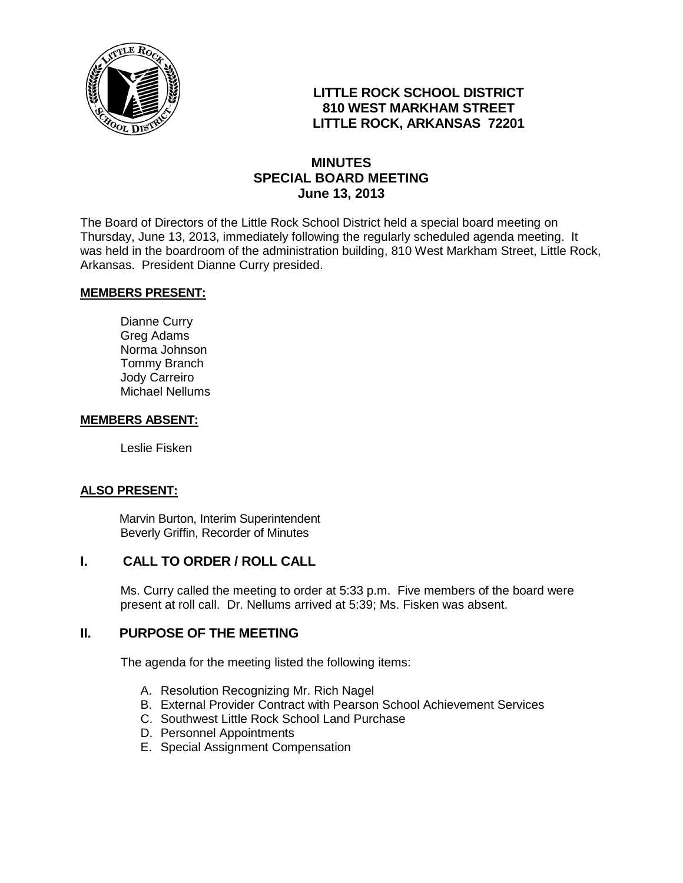

# **LITTLE ROCK SCHOOL DISTRICT 810 WEST MARKHAM STREET LITTLE ROCK, ARKANSAS 72201**

# **MINUTES SPECIAL BOARD MEETING June 13, 2013**

The Board of Directors of the Little Rock School District held a special board meeting on Thursday, June 13, 2013, immediately following the regularly scheduled agenda meeting. It was held in the boardroom of the administration building, 810 West Markham Street, Little Rock, Arkansas. President Dianne Curry presided.

#### **MEMBERS PRESENT:**

Dianne Curry Greg Adams Norma Johnson Tommy Branch Jody Carreiro Michael Nellums

#### **MEMBERS ABSENT:**

Leslie Fisken

### **ALSO PRESENT:**

 Marvin Burton, Interim Superintendent Beverly Griffin, Recorder of Minutes

## **I. CALL TO ORDER / ROLL CALL**

Ms. Curry called the meeting to order at 5:33 p.m. Five members of the board were present at roll call. Dr. Nellums arrived at 5:39; Ms. Fisken was absent.

### **II. PURPOSE OF THE MEETING**

The agenda for the meeting listed the following items:

- A. Resolution Recognizing Mr. Rich Nagel
- B. External Provider Contract with Pearson School Achievement Services
- C. Southwest Little Rock School Land Purchase
- D. Personnel Appointments
- E. Special Assignment Compensation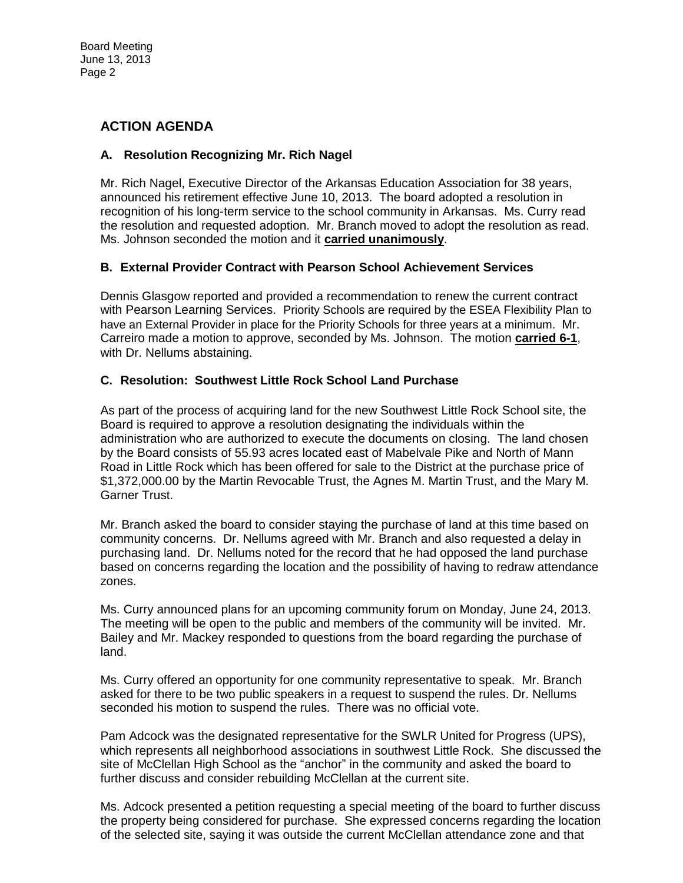# **ACTION AGENDA**

### **A. Resolution Recognizing Mr. Rich Nagel**

Mr. Rich Nagel, Executive Director of the Arkansas Education Association for 38 years, announced his retirement effective June 10, 2013. The board adopted a resolution in recognition of his long-term service to the school community in Arkansas. Ms. Curry read the resolution and requested adoption. Mr. Branch moved to adopt the resolution as read. Ms. Johnson seconded the motion and it **carried unanimously**.

### **B. External Provider Contract with Pearson School Achievement Services**

Dennis Glasgow reported and provided a recommendation to renew the current contract with Pearson Learning Services. Priority Schools are required by the ESEA Flexibility Plan to have an External Provider in place for the Priority Schools for three years at a minimum. Mr. Carreiro made a motion to approve, seconded by Ms. Johnson. The motion **carried 6-1**, with Dr. Nellums abstaining.

### **C. Resolution: Southwest Little Rock School Land Purchase**

As part of the process of acquiring land for the new Southwest Little Rock School site, the Board is required to approve a resolution designating the individuals within the administration who are authorized to execute the documents on closing. The land chosen by the Board consists of 55.93 acres located east of Mabelvale Pike and North of Mann Road in Little Rock which has been offered for sale to the District at the purchase price of \$1,372,000.00 by the Martin Revocable Trust, the Agnes M. Martin Trust, and the Mary M. Garner Trust.

Mr. Branch asked the board to consider staying the purchase of land at this time based on community concerns. Dr. Nellums agreed with Mr. Branch and also requested a delay in purchasing land. Dr. Nellums noted for the record that he had opposed the land purchase based on concerns regarding the location and the possibility of having to redraw attendance zones.

Ms. Curry announced plans for an upcoming community forum on Monday, June 24, 2013. The meeting will be open to the public and members of the community will be invited. Mr. Bailey and Mr. Mackey responded to questions from the board regarding the purchase of land.

Ms. Curry offered an opportunity for one community representative to speak. Mr. Branch asked for there to be two public speakers in a request to suspend the rules. Dr. Nellums seconded his motion to suspend the rules. There was no official vote.

Pam Adcock was the designated representative for the SWLR United for Progress (UPS), which represents all neighborhood associations in southwest Little Rock. She discussed the site of McClellan High School as the "anchor" in the community and asked the board to further discuss and consider rebuilding McClellan at the current site.

Ms. Adcock presented a petition requesting a special meeting of the board to further discuss the property being considered for purchase. She expressed concerns regarding the location of the selected site, saying it was outside the current McClellan attendance zone and that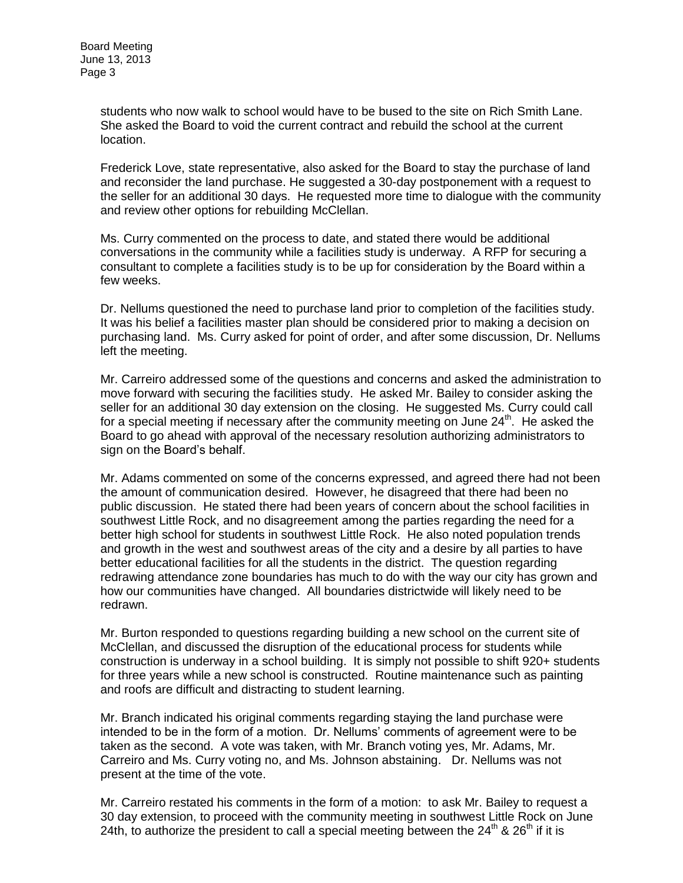students who now walk to school would have to be bused to the site on Rich Smith Lane. She asked the Board to void the current contract and rebuild the school at the current location.

Frederick Love, state representative, also asked for the Board to stay the purchase of land and reconsider the land purchase. He suggested a 30-day postponement with a request to the seller for an additional 30 days. He requested more time to dialogue with the community and review other options for rebuilding McClellan.

Ms. Curry commented on the process to date, and stated there would be additional conversations in the community while a facilities study is underway. A RFP for securing a consultant to complete a facilities study is to be up for consideration by the Board within a few weeks.

Dr. Nellums questioned the need to purchase land prior to completion of the facilities study. It was his belief a facilities master plan should be considered prior to making a decision on purchasing land. Ms. Curry asked for point of order, and after some discussion, Dr. Nellums left the meeting.

Mr. Carreiro addressed some of the questions and concerns and asked the administration to move forward with securing the facilities study. He asked Mr. Bailey to consider asking the seller for an additional 30 day extension on the closing. He suggested Ms. Curry could call for a special meeting if necessary after the community meeting on June  $24<sup>th</sup>$ . He asked the Board to go ahead with approval of the necessary resolution authorizing administrators to sign on the Board's behalf.

Mr. Adams commented on some of the concerns expressed, and agreed there had not been the amount of communication desired. However, he disagreed that there had been no public discussion. He stated there had been years of concern about the school facilities in southwest Little Rock, and no disagreement among the parties regarding the need for a better high school for students in southwest Little Rock. He also noted population trends and growth in the west and southwest areas of the city and a desire by all parties to have better educational facilities for all the students in the district. The question regarding redrawing attendance zone boundaries has much to do with the way our city has grown and how our communities have changed. All boundaries districtwide will likely need to be redrawn.

Mr. Burton responded to questions regarding building a new school on the current site of McClellan, and discussed the disruption of the educational process for students while construction is underway in a school building. It is simply not possible to shift 920+ students for three years while a new school is constructed. Routine maintenance such as painting and roofs are difficult and distracting to student learning.

Mr. Branch indicated his original comments regarding staying the land purchase were intended to be in the form of a motion. Dr. Nellums' comments of agreement were to be taken as the second. A vote was taken, with Mr. Branch voting yes, Mr. Adams, Mr. Carreiro and Ms. Curry voting no, and Ms. Johnson abstaining. Dr. Nellums was not present at the time of the vote.

Mr. Carreiro restated his comments in the form of a motion: to ask Mr. Bailey to request a 30 day extension, to proceed with the community meeting in southwest Little Rock on June 24th, to authorize the president to call a special meeting between the  $24<sup>th</sup>$  &  $26<sup>th</sup>$  if it is